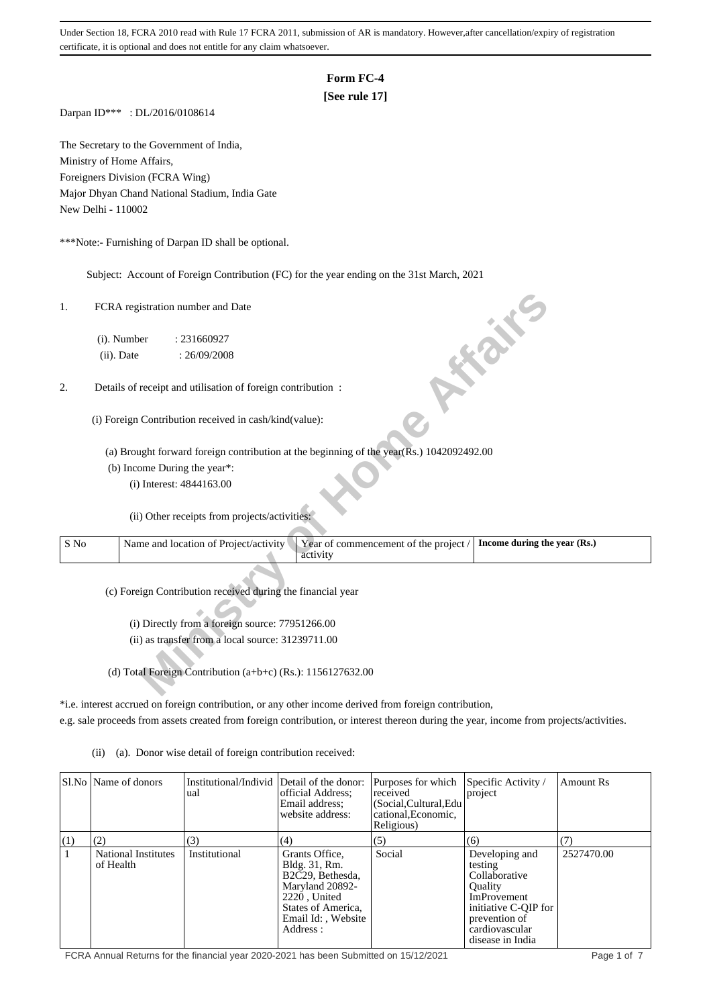## **Form FC-4**

# **[See rule 17]**

Darpan ID\*\*\* : DL/2016/0108614

The Secretary to the Government of India, Ministry of Home Affairs, Foreigners Division (FCRA Wing) Major Dhyan Chand National Stadium, India Gate New Delhi - 110002

\*\*\*Note:- Furnishing of Darpan ID shall be optional.

Subject: Account of Foreign Contribution (FC) for the year ending on the 31st March, 2021

| 1.   | FCRA registration number and Date                                                                                          |  |
|------|----------------------------------------------------------------------------------------------------------------------------|--|
|      | (i). Number<br>: 231660927                                                                                                 |  |
|      | <b>10 % %</b><br>(ii). Date<br>: 26/09/2008                                                                                |  |
| 2.   | Details of receipt and utilisation of foreign contribution :                                                               |  |
|      | (i) Foreign Contribution received in cash/kind(value):                                                                     |  |
|      | (a) Brought forward foreign contribution at the beginning of the year( $\overline{R}$ s.) 1042092492.00                    |  |
|      | (b) Income During the year*:                                                                                               |  |
|      | (i) Interest: 4844163.00                                                                                                   |  |
|      | (ii) Other receipts from projects/activities:                                                                              |  |
| S No | Year of commencement of the project /<br>Name and location of Project/activity<br>Income during the year (Rs.)<br>activity |  |
|      | (c) Foreign Contribution received during the financial year                                                                |  |
|      | (i) Directly from a foreign source: 77951266.00                                                                            |  |
|      | (ii) as transfer from a local source: 31239711.00                                                                          |  |
|      |                                                                                                                            |  |
|      | (d) Total Foreign Contribution $(a+b+c)$ (Rs.): 1156127632.00                                                              |  |

\*i.e. interest accrued on foreign contribution, or any other income derived from foreign contribution, e.g. sale proceeds from assets created from foreign contribution, or interest thereon during the year, income from projects/activities.

(ii) (a). Donor wise detail of foreign contribution received:

|              | SI.No Name of donors                    | Institutional/Individ Detail of the donor:<br>ual | official Address;<br>Email address;<br>website address:                                                                                       | Purposes for which<br>received<br>(Social, Cultural, Edu<br>cational, Economic,<br>Religious) | Specific Activity /<br>project                                                                                                                                    | Amount Rs  |
|--------------|-----------------------------------------|---------------------------------------------------|-----------------------------------------------------------------------------------------------------------------------------------------------|-----------------------------------------------------------------------------------------------|-------------------------------------------------------------------------------------------------------------------------------------------------------------------|------------|
| (1)          | (2)                                     | (3)                                               | (4)                                                                                                                                           | (5)                                                                                           | (6)                                                                                                                                                               | (7)        |
| $\mathbf{1}$ | <b>National Institutes</b><br>of Health | Institutional                                     | Grants Office.<br>Bldg. 31, Rm.<br>B2C29, Bethesda,<br>Maryland 20892-<br>2220 United<br>States of America,<br>Email Id:, Website<br>Address: | Social                                                                                        | Developing and<br>testing<br>Collaborative<br><b>Ouality</b><br><b>ImProvement</b><br>initiative C-QIP for<br>prevention of<br>cardiovascular<br>disease in India | 2527470.00 |

FCRA Annual Returns for the financial year 2020-2021 has been Submitted on 15/12/2021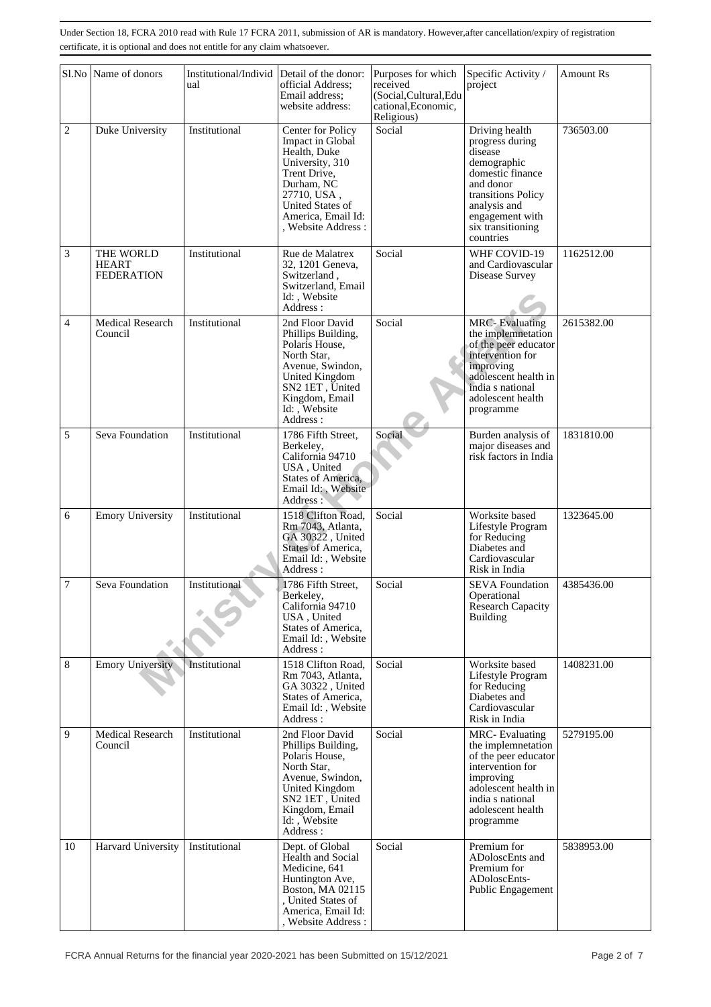|                | Sl.No Name of donors                           | Institutional/Individ Detail of the donor:<br>ual | official Address;<br>Email address;<br>website address:                                                                                                                                    | Purposes for which<br>received<br>(Social, Cultural, Edu<br>cational, Economic,<br>Religious) | Specific Activity /<br>project                                                                                                                                                          | <b>Amount Rs</b> |
|----------------|------------------------------------------------|---------------------------------------------------|--------------------------------------------------------------------------------------------------------------------------------------------------------------------------------------------|-----------------------------------------------------------------------------------------------|-----------------------------------------------------------------------------------------------------------------------------------------------------------------------------------------|------------------|
| $\overline{c}$ | Duke University                                | Institutional                                     | Center for Policy<br>Impact in Global<br>Health, Duke<br>University, 310<br>Trent Drive,<br>Durham, NC<br>27710, USA,<br>United States of<br>America, Email Id:<br>Website Address:        | Social                                                                                        | Driving health<br>progress during<br>disease<br>demographic<br>domestic finance<br>and donor<br>transitions Policy<br>analysis and<br>engagement with<br>six transitioning<br>countries | 736503.00        |
| 3              | THE WORLD<br><b>HEART</b><br><b>FEDERATION</b> | Institutional                                     | Rue de Malatrex<br>32, 1201 Geneva,<br>Switzerland,<br>Switzerland, Email<br>Id:, Website<br>Address:                                                                                      | Social                                                                                        | WHF COVID-19<br>and Cardiovascular<br>Disease Survey                                                                                                                                    | 1162512.00       |
| $\overline{4}$ | Medical Research<br>Council                    | Institutional                                     | 2nd Floor David<br>Phillips Building,<br>Polaris House,<br>North Star,<br>Avenue, Swindon,<br>United Kingdom<br>SN <sub>2</sub> 1ET, United<br>Kingdom, Email<br>Id: , Website<br>Address: | Social                                                                                        | <b>MRC-Evaluating</b><br>the implemnetation<br>of the peer educator<br>intervention for<br>improving<br>adolescent health in<br>india s national<br>adolescent health<br>programme      | 2615382.00       |
| 5              | Seva Foundation                                | Institutional                                     | 1786 Fifth Street,<br>Berkeley,<br>California 94710<br>USA, United<br>States of America,<br>Email Id:, Website<br>Address:                                                                 | Social                                                                                        | Burden analysis of<br>major diseases and<br>risk factors in India                                                                                                                       | 1831810.00       |
| 6              | <b>Emory University</b>                        | Institutional                                     | 1518 Clifton Road,<br>Rm 7043, Atlanta,<br>GA 30322, United<br>States of America,<br>Email Id:, Website<br>Address :                                                                       | Social                                                                                        | Worksite based<br>Lifestyle Program<br>for Reducing<br>Diabetes and<br>Cardiovascular<br>Risk in India                                                                                  | 1323645.00       |
| 7              | Seva Foundation                                | Institutional                                     | 1786 Fifth Street,<br>Berkeley,<br>California 94710<br>USA, United<br>States of America,<br>Email Id:, Website<br>Address:                                                                 | Social                                                                                        | <b>SEVA Foundation</b><br>Operational<br>Research Capacity<br><b>Building</b>                                                                                                           | 4385436.00       |
| 8              | <b>Emory University</b>                        | Institutional                                     | 1518 Clifton Road,<br>Rm 7043, Atlanta,<br>GA 30322, United<br>States of America,<br>Email Id:, Website<br>Address:                                                                        | Social                                                                                        | Worksite based<br>Lifestyle Program<br>for Reducing<br>Diabetes and<br>Cardiovascular<br>Risk in India                                                                                  | 1408231.00       |
| 9              | <b>Medical Research</b><br>Council             | Institutional                                     | 2nd Floor David<br>Phillips Building,<br>Polaris House,<br>North Star,<br>Avenue, Swindon,<br>United Kingdom<br>SN <sub>2</sub> 1ET, United<br>Kingdom, Email<br>Id:, Website<br>Address:  | Social                                                                                        | <b>MRC-Evaluating</b><br>the implemnetation<br>of the peer educator<br>intervention for<br>improving<br>adolescent health in<br>india s national<br>adolescent health<br>programme      | 5279195.00       |
| 10             | Harvard University                             | Institutional                                     | Dept. of Global<br>Health and Social<br>Medicine, 641<br>Huntington Ave,<br>Boston, MA 02115<br>, United States of<br>America, Email Id:<br>, Website Address:                             | Social                                                                                        | Premium for<br>ADoloscEnts and<br>Premium for<br>ADoloscEnts-<br>Public Engagement                                                                                                      | 5838953.00       |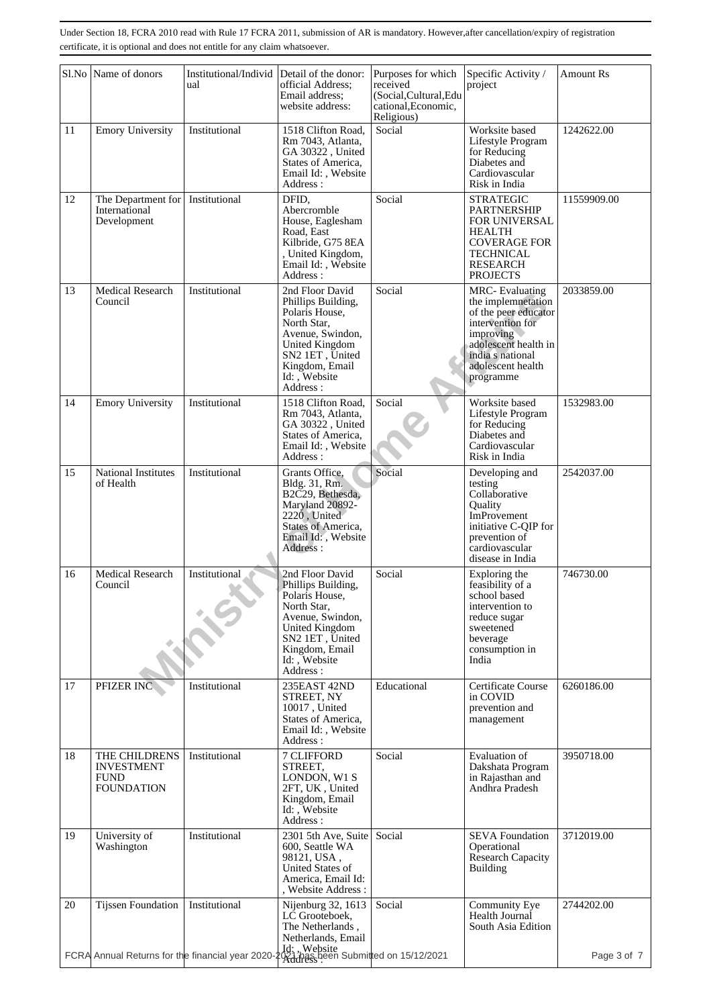|    | Sl.No Name of donors                                                                                                                                                  | Institutional/Individ<br>ual | Detail of the donor:<br>official Address;<br>Email address;<br>website address:                                                                                                       | Purposes for which<br>received<br>(Social, Cultural, Edu<br>cational, Economic,<br>Religious) | Specific Activity /<br>project                                                                                                                                                     | <b>Amount Rs</b> |
|----|-----------------------------------------------------------------------------------------------------------------------------------------------------------------------|------------------------------|---------------------------------------------------------------------------------------------------------------------------------------------------------------------------------------|-----------------------------------------------------------------------------------------------|------------------------------------------------------------------------------------------------------------------------------------------------------------------------------------|------------------|
| 11 | <b>Emory University</b>                                                                                                                                               | Institutional                | 1518 Clifton Road.<br>Rm 7043, Atlanta,<br>GA 30322, United<br>States of America,<br>Email Id:, Website<br>Address:                                                                   | Social                                                                                        | Worksite based<br>Lifestyle Program<br>for Reducing<br>Diabetes and<br>Cardiovascular<br>Risk in India                                                                             | 1242622.00       |
| 12 | The Department for   Institutional<br>International<br>Development                                                                                                    |                              | DFID,<br>Abercromble<br>House, Eaglesham<br>Road, East<br>Kilbride, G75 8EA<br>, United Kingdom,<br>Email Id:, Website<br>Address:                                                    | Social                                                                                        | <b>STRATEGIC</b><br><b>PARTNERSHIP</b><br><b>FOR UNIVERSAL</b><br><b>HEALTH</b><br><b>COVERAGE FOR</b><br><b>TECHNICAL</b><br><b>RESEARCH</b><br><b>PROJECTS</b>                   | 11559909.00      |
| 13 | Medical Research<br>Council                                                                                                                                           | Institutional                | 2nd Floor David<br>Phillips Building,<br>Polaris House.<br>North Star,<br>Avenue, Swindon,<br><b>United Kingdom</b><br>SN2 1ET, United<br>Kingdom, Email<br>Id: , Website<br>Address: | Social                                                                                        | <b>MRC-Evaluating</b><br>the implemnetation<br>of the peer educator<br>intervention for<br>improving<br>adolescent health in<br>india s national<br>adolescent health<br>programme | 2033859.00       |
| 14 | <b>Emory University</b>                                                                                                                                               | Institutional                | 1518 Clifton Road.<br>Rm 7043, Atlanta,<br>GA 30322, United<br>States of America,<br>Email Id:, Website<br>Address:                                                                   | Social                                                                                        | Worksite based<br>Lifestyle Program<br>for Reducing<br>Diabetes and<br>Cardiovascular<br>Risk in India                                                                             | 1532983.00       |
| 15 | National Institutes<br>of Health                                                                                                                                      | Institutional                | Grants Office,<br>Bldg. 31, Rm.<br>B2C29, Bethesda,<br>Maryland 20892-<br>2220, United<br><b>States of America,</b><br>Email Id:, Website<br>Address:                                 | Social                                                                                        | Developing and<br>testing<br>Collaborative<br>Quality<br>ImProvement<br>initiative C-QIP for<br>prevention of<br>cardiovascular<br>disease in India                                | 2542037.00       |
| 16 | <b>Medical Research</b><br>Council                                                                                                                                    | Institutional                | 2nd Floor David<br>Phillips Building,<br>Polaris House,<br>North Star.<br>Avenue, Swindon,<br>United Kingdom<br>SN2 1ET, United<br>Kingdom, Email<br>Id: Website<br>Address:          | Social                                                                                        | Exploring the<br>feasibility of a<br>school based<br>intervention to<br>reduce sugar<br>sweetened<br>beverage<br>consumption in<br>India                                           | 746730.00        |
| 17 | PFIZER INC                                                                                                                                                            | Institutional                | 235EAST 42ND<br>STREET, NY<br>10017, United<br>States of America,<br>Email Id:, Website<br>Address:                                                                                   | Educational                                                                                   | <b>Certificate Course</b><br>in COVID<br>prevention and<br>management                                                                                                              | 6260186.00       |
| 18 | THE CHILDRENS<br><b>INVESTMENT</b><br><b>FUND</b><br><b>FOUNDATION</b>                                                                                                | Institutional                | 7 CLIFFORD<br>STREET,<br>LONDON, W1 S<br>2FT, UK, United<br>Kingdom, Email<br>Id:, Website<br>Address:                                                                                | Social                                                                                        | Evaluation of<br>Dakshata Program<br>in Rajasthan and<br>Andhra Pradesh                                                                                                            | 3950718.00       |
| 19 | University of<br>Washington                                                                                                                                           | Institutional                | 2301 5th Ave, Suite<br>600, Seattle WA<br>98121, USA,<br>United States of<br>America, Email Id:<br>, Website Address :                                                                | Social                                                                                        | <b>SEVA Foundation</b><br>Operational<br>Research Capacity<br><b>Building</b>                                                                                                      | 3712019.00       |
| 20 | Tijssen Foundation<br>FCRA Annual Returns for the financial year 2020-2021<br>FCRA Annual Returns for the financial year 2020-2021 Anass been Submitted on 15/12/2021 | Institutional                | Nijenburg 32, 1613<br>LC Grooteboek,<br>The Netherlands,<br>Netherlands, Email                                                                                                        | Social                                                                                        | Community Eye<br>Health Journal<br>South Asia Edition                                                                                                                              | 2744202.00       |
|    |                                                                                                                                                                       |                              |                                                                                                                                                                                       |                                                                                               |                                                                                                                                                                                    | Page 3 of 7      |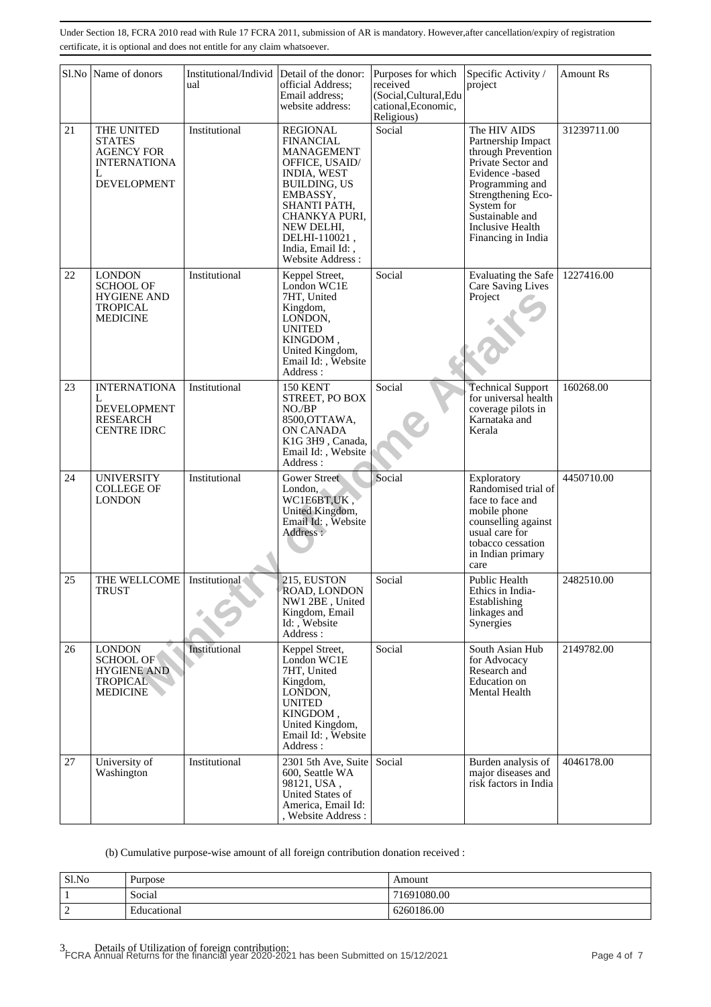|    | Sl.No Name of donors                                                                               | Institutional/Individ<br>ual | Detail of the donor:<br>official Address;<br>Email address;<br>website address:                                                                                                                                                       | Purposes for which<br>received<br>(Social, Cultural, Edu<br>cational, Economic,<br>Religious) | Specific Activity /<br>project                                                                                                                                                                                        | <b>Amount Rs</b> |
|----|----------------------------------------------------------------------------------------------------|------------------------------|---------------------------------------------------------------------------------------------------------------------------------------------------------------------------------------------------------------------------------------|-----------------------------------------------------------------------------------------------|-----------------------------------------------------------------------------------------------------------------------------------------------------------------------------------------------------------------------|------------------|
| 21 | THE UNITED<br><b>STATES</b><br><b>AGENCY FOR</b><br><b>INTERNATIONA</b><br>L<br><b>DEVELOPMENT</b> | Institutional                | <b>REGIONAL</b><br><b>FINANCIAL</b><br>MANAGEMENT<br>OFFICE, USAID/<br><b>INDIA, WEST</b><br><b>BUILDING, US</b><br>EMBASSY,<br>SHANTI PATH,<br>CHANKYA PURI,<br>NEW DELHI,<br>DELHI-110021,<br>India, Email Id:,<br>Website Address: | Social                                                                                        | The HIV AIDS<br>Partnership Impact<br>through Prevention<br>Private Sector and<br>Evidence -based<br>Programming and<br>Strengthening Eco-<br>System for<br>Sustainable and<br>Inclusive Health<br>Financing in India | 31239711.00      |
| 22 | <b>LONDON</b><br><b>SCHOOL OF</b><br><b>HYGIENE AND</b><br><b>TROPICAL</b><br><b>MEDICINE</b>      | Institutional                | Keppel Street,<br>London WC1E<br>7HT, United<br>Kingdom,<br>LONDON,<br><b>UNITED</b><br>KINGDOM,<br>United Kingdom,<br>Email Id:, Website<br>Address:                                                                                 | Social                                                                                        | Evaluating the Safe<br>Care Saving Lives<br>Project                                                                                                                                                                   | 1227416.00       |
| 23 | <b>INTERNATIONA</b><br>L<br><b>DEVELOPMENT</b><br><b>RESEARCH</b><br><b>CENTRE IDRC</b>            | Institutional                | <b>150 KENT</b><br>STREET, PO BOX<br>$NO$ / $BP$<br>8500, OTTAWA,<br>ON CANADA<br>K1G 3H9, Canada,<br>Email Id:, Website<br>Address:                                                                                                  | Social                                                                                        | <b>Technical Support</b><br>for universal health<br>coverage pilots in<br>Karnataka and<br>Kerala                                                                                                                     | 160268.00        |
| 24 | <b>UNIVERSITY</b><br><b>COLLEGE OF</b><br>LONDON                                                   | Institutional                | <b>Gower Street</b><br>London,<br>WC1E6BT,UK,<br>United Kingdom,<br>Email Id: , Website<br>Address:                                                                                                                                   | Social                                                                                        | Exploratory<br>Randomised trial of<br>face to face and<br>mobile phone<br>counselling against<br>usual care for<br>tobacco cessation<br>in Indian primary<br>care                                                     | 4450710.00       |
| 25 | THE WELLCOME   Institutional<br>TRUST                                                              |                              | 215, EUSTON<br>ROAD, LONDON<br>NW1 2BE, United<br>Kingdom, Email<br>Id: Website<br>Address:                                                                                                                                           | Social                                                                                        | Public Health<br>Ethics in India-<br>Establishing<br>linkages and<br>Synergies                                                                                                                                        | 2482510.00       |
| 26 | <b>LONDON</b><br><b>SCHOOL OF</b><br><b>HYGIENE AND</b><br><b>TROPICAL</b><br><b>MEDICINE</b>      | Institutional                | Keppel Street,<br>London WC1E<br>7HT, United<br>Kingdom,<br>LONDON,<br><b>UNITED</b><br>KINGDOM,<br>United Kingdom,<br>Email Id:, Website<br>Address:                                                                                 | Social                                                                                        | South Asian Hub<br>for Advocacy<br>Research and<br>Education on<br>Mental Health                                                                                                                                      | 2149782.00       |
| 27 | University of<br>Washington                                                                        | Institutional                | 2301 5th Ave, Suite<br>600, Seattle WA<br>98121, USA,<br>United States of<br>America, Email Id:<br>, Website Address :                                                                                                                | Social                                                                                        | Burden analysis of<br>major diseases and<br>risk factors in India                                                                                                                                                     | 4046178.00       |

(b) Cumulative purpose-wise amount of all foreign contribution donation received :

| Sl.No       | Purpose     | Amount      |
|-------------|-------------|-------------|
|             | Social      | 71691080.00 |
| $\sim$<br>∼ | Educational | 6260186.00  |

3. Details of Utilization of foreign contribution: FCRA Annual Returns for the financial year 2020-2021 has been Submitted on 15/12/2021 Page 4 of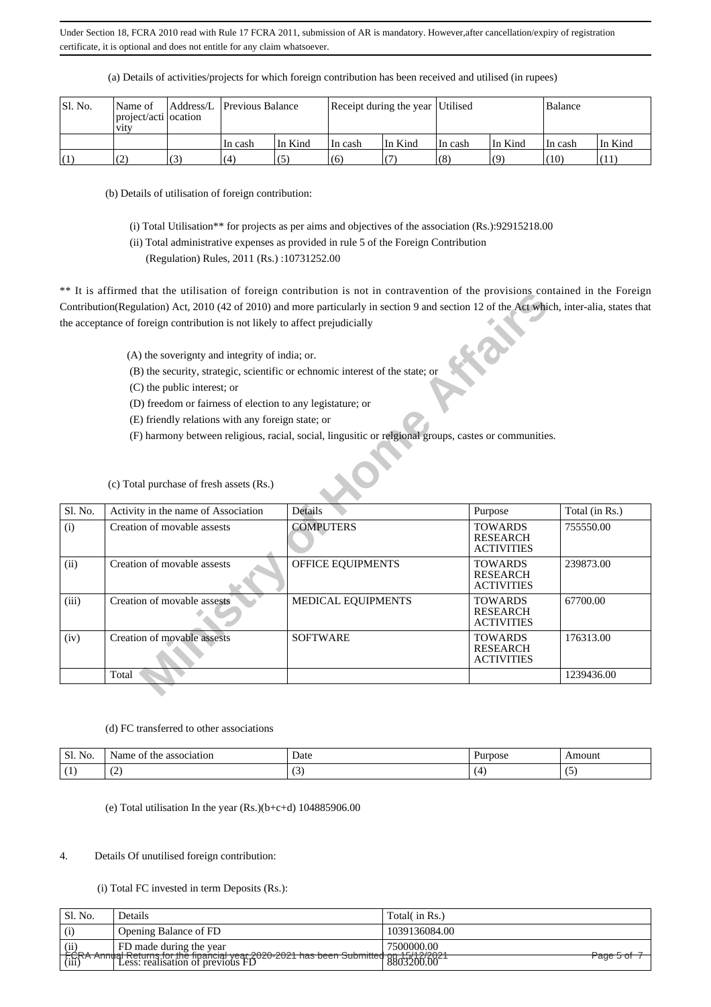| SI. No. | Name of<br>project/acti ocation<br><b>V1tV</b> |     | Address/L Previous Balance |         | Receipt during the year Utilised |         |         |                    | Balance |         |
|---------|------------------------------------------------|-----|----------------------------|---------|----------------------------------|---------|---------|--------------------|---------|---------|
|         |                                                |     | 'In cash                   | In Kind | In cash                          | In Kind | In cash | In Kind            | In cash | In Kind |
| (1)     | (2)                                            | (3) | (4)                        | (5)     | (6)                              |         | (8)     | $\left( 0 \right)$ | (10)    | (11)    |

(a) Details of activities/projects for which foreign contribution has been received and utilised (in rupees)

(b) Details of utilisation of foreign contribution:

(i) Total Utilisation\*\* for projects as per aims and objectives of the association (Rs.):92915218.00

(ii) Total administrative expenses as provided in rule 5 of the Foreign Contribution

(Regulation) Rules, 2011 (Rs.) :10731252.00

\*\* It is affirmed that the utilisation of foreign contribution is not in contravention of the provisions contained in the Foreign Contribution(Regulation) Act, 2010 (42 of 2010) and more particularly in section 9 and section 12 of the Act which, inter-alia, states that the acceptance of foreign contribution is not likely to affect prejudicially

|         | It is arritmed that the utilisation of foreign contribution is not in contravention of the provisions contained in the Poleign                                                                                                                                                                                                |                                                                                                       |                                                        |                |
|---------|-------------------------------------------------------------------------------------------------------------------------------------------------------------------------------------------------------------------------------------------------------------------------------------------------------------------------------|-------------------------------------------------------------------------------------------------------|--------------------------------------------------------|----------------|
|         | Contribution(Regulation) Act, 2010 (42 of 2010) and more particularly in section 9 and section 12 of the Act which, inter-alia, states that                                                                                                                                                                                   |                                                                                                       |                                                        |                |
|         | the acceptance of foreign contribution is not likely to affect prejudicially                                                                                                                                                                                                                                                  |                                                                                                       |                                                        |                |
|         | (A) the soverignty and integrity of india; or.<br>(B) the security, strategic, scientific or echnomic interest of the state; or<br>(C) the public interest; or<br>(D) freedom or fairness of election to any legistature; or<br>(E) friendly relations with any foreign state; or<br>(c) Total purchase of fresh assets (Rs.) | (F) harmony between religious, racial, social, lingusitic or relgional groups, castes or communities. |                                                        |                |
| Sl. No. | Activity in the name of Association                                                                                                                                                                                                                                                                                           | Details                                                                                               | Purpose                                                | Total (in Rs.) |
| (i)     | Creation of movable assests                                                                                                                                                                                                                                                                                                   | <b>COMPUTERS</b>                                                                                      | <b>TOWARDS</b><br><b>RESEARCH</b><br><b>ACTIVITIES</b> | 755550.00      |
| (ii)    | Creation of movable assests                                                                                                                                                                                                                                                                                                   | OFFICE EQUIPMENTS                                                                                     | <b>TOWARDS</b><br><b>RESEARCH</b><br><b>ACTIVITIES</b> | 239873.00      |
| (iii)   | Creation of movable assests                                                                                                                                                                                                                                                                                                   | MEDICAL EQUIPMENTS                                                                                    | <b>TOWARDS</b><br><b>RESEARCH</b><br><b>ACTIVITIES</b> | 67700.00       |
| (iv)    | Creation of movable assests                                                                                                                                                                                                                                                                                                   | <b>SOFTWARE</b>                                                                                       | <b>TOWARDS</b><br><b>RESEARCH</b><br><b>ACTIVITIES</b> | 176313.00      |
|         | Total                                                                                                                                                                                                                                                                                                                         |                                                                                                       |                                                        | 1239436.00     |

### (d) FC transferred to other associations

| NO.<br>JЬ. | Nam<br>ΟĪ<br>the<br>association | Date                     | 1.53342200000<br>770SC | noun |
|------------|---------------------------------|--------------------------|------------------------|------|
|            | ᠂                               | $\overline{\phantom{a}}$ |                        |      |

(e) Total utilisation In the year  $(Rs.)(b+c+d)$  104885906.00

### 4. Details Of unutilised foreign contribution:

(i) Total FC invested in term Deposits (Rs.):

| Sl. No. | Details                                                                                                                                               | Total( in Rs.) |
|---------|-------------------------------------------------------------------------------------------------------------------------------------------------------|----------------|
| (i)     | Opening Balance of FD                                                                                                                                 | 1039136084.00  |
| (ii)    | FD made during the year                                                                                                                               | 7500000.00     |
|         | $\left[\frac{\text{FCRA}+\text{Annual}+ \text{Returns for the financial year} \cdot 2020-2021}{\text{(iii)}}\right]$ Less: realisation of previous FD | Page 5 of 7    |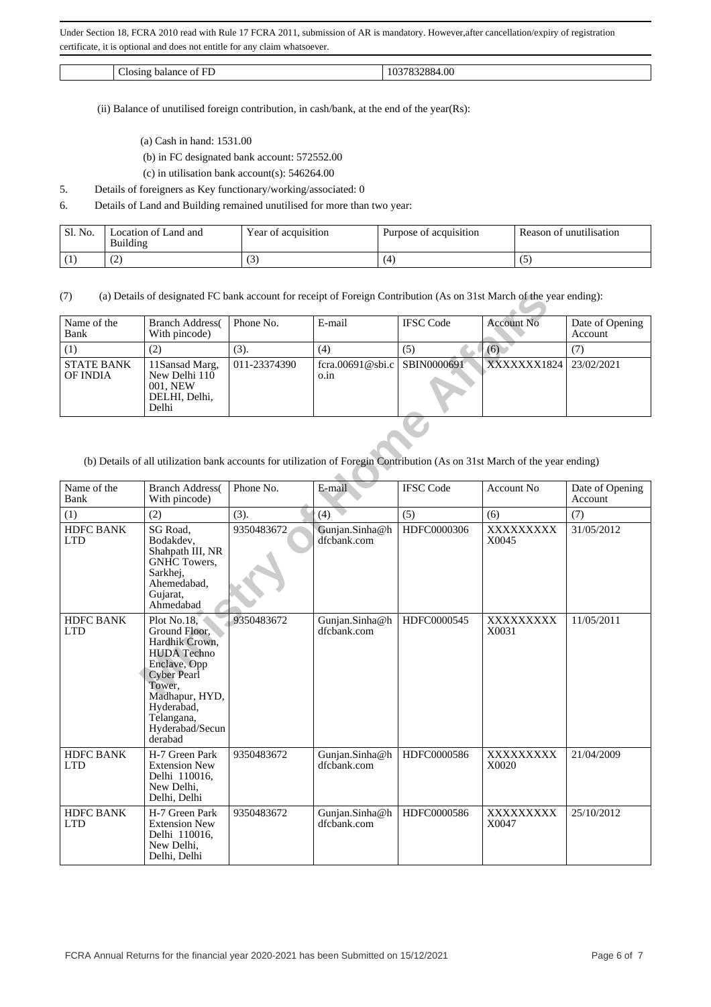| $\sim$<br>. | oc<br>. |
|-------------|---------|
|             |         |

(ii) Balance of unutilised foreign contribution, in cash/bank, at the end of the year(Rs):

- (a) Cash in hand: 1531.00
- (b) in FC designated bank account: 572552.00
- (c) in utilisation bank account(s): 546264.00
- 5. Details of foreigners as Key functionary/working/associated: 0
- 6. Details of Land and Building remained unutilised for more than two year:

| Sl. No. | ∟ocation of Land and<br>Building | Year of acquisition | Purpose of acquisition | Reason of unutilisation |
|---------|----------------------------------|---------------------|------------------------|-------------------------|
|         | $\sim$<br>ب سے ب                 | ◡                   | l ∠l                   | ື                       |

(7) (a) Details of designated FC bank account for receipt of Foreign Contribution (As on 31st March of the year ending):

| Name of the<br>Bank           | <b>Branch Address</b><br>With pincode)                                | Phone No.    | E-mail                               | <b>IFSC</b> Code | <b>Account No</b> | Date of Opening<br>Account |
|-------------------------------|-----------------------------------------------------------------------|--------------|--------------------------------------|------------------|-------------------|----------------------------|
| (1)                           | (2)                                                                   | (3).         | (4)                                  | (5)              | (6)               |                            |
| <b>STATE BANK</b><br>OF INDIA | 11Sansad Marg,<br>New Delhi 110<br>001. NEW<br>DELHI, Delhi,<br>Delhi | 011-23374390 | fcra.00691@sbi.c SBIN0000691<br>0.1n |                  | XXXXXXX1824       | 23/02/2021                 |

(b) Details of all utilization bank accounts for utilization of Foregin Contribution (As on 31st March of the year ending)

| Name of the<br>Bank            | <b>Branch Address</b> (<br>With pincode)                                                                                                                                                         | Phone No.    | E-mail                        | <b>IFSC</b> Code | <b>Account No</b>  | Date of Opening<br>Account |
|--------------------------------|--------------------------------------------------------------------------------------------------------------------------------------------------------------------------------------------------|--------------|-------------------------------|------------------|--------------------|----------------------------|
| (1)                            | (2)                                                                                                                                                                                              | (3).         | (4)                           | (5)              | (6)                | (7)                        |
| <b>STATE BANK</b><br>OF INDIA  | 11Sansad Marg,<br>New Delhi 110<br>001, NEW<br>DELHI, Delhi,<br>Delhi                                                                                                                            | 011-23374390 | fcra.00691@sbi.c<br>o.in      | SBIN0000691      | XXXXXXX1824        | 23/02/2021                 |
| Name of the                    | (b) Details of all utilization bank accounts for utilization of Foregin Contribution (As on 31st March of the year ending)<br><b>Branch Address</b>                                              | Phone No.    | E-mail                        | <b>IFSC Code</b> | <b>Account No</b>  | Date of Opening            |
| Bank                           | With pincode)                                                                                                                                                                                    |              |                               |                  |                    | Account                    |
| (1)                            | (2)                                                                                                                                                                                              | (3).         | (4)                           | (5)              | (6)                | (7)                        |
| <b>HDFC BANK</b><br><b>LTD</b> | SG Road,<br>Bodakdev.<br>Shahpath III, NR<br>GNHC Towers,<br>Sarkhej,<br>Ahemedabad,<br>Gujarat,<br>Ahmedabad                                                                                    | 9350483672   | Gunjan.Sinha@h<br>dfcbank.com | HDFC0000306      | XXXXXXXXX<br>X0045 | 31/05/2012                 |
| HDFC BANK<br><b>LTD</b>        | Plot No.18,<br>Ground Floor,<br>Hardhik Crown,<br><b>HUDA</b> Techno<br>Enclave, Opp<br><b>Cyber Pearl</b><br>Tower,<br>Madhapur, HYD,<br>Hyderabad,<br>Telangana,<br>Hyderabad/Secun<br>derabad | 9350483672   | Gunjan.Sinha@h<br>dfcbank.com | HDFC0000545      | XXXXXXXXX<br>X0031 | 11/05/2011                 |
| <b>HDFC BANK</b><br><b>LTD</b> | H-7 Green Park<br><b>Extension New</b><br>Delhi 110016,<br>New Delhi,<br>Delhi, Delhi                                                                                                            | 9350483672   | Gunjan.Sinha@h<br>dfcbank.com | HDFC0000586      | XXXXXXXXX<br>X0020 | 21/04/2009                 |
| <b>HDFC BANK</b><br><b>LTD</b> | H-7 Green Park<br><b>Extension New</b><br>Delhi 110016,<br>New Delhi,<br>Delhi, Delhi                                                                                                            | 9350483672   | Gunjan.Sinha@h<br>dfcbank.com | HDFC0000586      | XXXXXXXXX<br>X0047 | 25/10/2012                 |